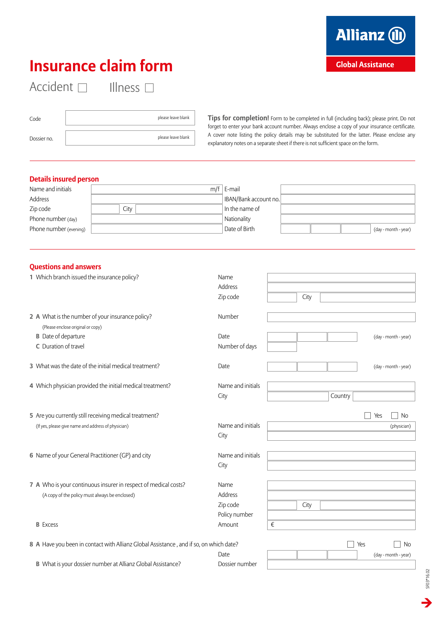## **Insurance claim form**

**Allianz (II)** 

**Global Assistance** 

Accident and Illness

Code please leave blank Dossier no. please leave blank

**Tips for completion!** Form to be completed in full (including back); please print. Do not forget to enter your bank account number. Always enclose a copy of your insurance certificate. A cover note listing the policy details may be substituted for the latter. Please enclose any explanatory notes on a separate sheet if there is not sufficient space on the form.

## **Details insured person**

| Name and initials      |  |      | $m/f$ E-mail |                      |                      |
|------------------------|--|------|--------------|----------------------|----------------------|
| Address                |  |      |              | BAN/Bank account no. |                      |
| Zip code               |  | Citv |              | In the name of       |                      |
| Phone number (day)     |  |      |              | Nationality          |                      |
| Phone number (evening) |  |      |              | Date of Birth        | (day - month - year) |

## **Questions and answers**

| 1 Which branch issued the insurance policy?                                            | Name              |      |         |                      |
|----------------------------------------------------------------------------------------|-------------------|------|---------|----------------------|
|                                                                                        | Address           |      |         |                      |
|                                                                                        | Zip code          | City |         |                      |
|                                                                                        |                   |      |         |                      |
| 2 A What is the number of your insurance policy?                                       | Number            |      |         |                      |
| (Please enclose original or copy)                                                      |                   |      |         |                      |
| <b>B</b> Date of departure                                                             | Date              |      |         | (day - month - year) |
| C Duration of travel                                                                   | Number of days    |      |         |                      |
|                                                                                        |                   |      |         |                      |
| 3 What was the date of the initial medical treatment?                                  | Date              |      |         | (day - month - year) |
|                                                                                        |                   |      |         |                      |
| 4 Which physician provided the initial medical treatment?                              | Name and initials |      |         |                      |
|                                                                                        | City              |      | Country |                      |
|                                                                                        |                   |      |         |                      |
| 5 Are you currently still receiving medical treatment?                                 |                   |      |         | Yes<br><b>No</b>     |
|                                                                                        | Name and initials |      |         |                      |
| (If yes, please give name and address of physician)                                    |                   |      |         | (physician)          |
|                                                                                        | City              |      |         |                      |
|                                                                                        | Name and initials |      |         |                      |
| 6 Name of your General Practitioner (GP) and city                                      |                   |      |         |                      |
|                                                                                        | City              |      |         |                      |
|                                                                                        |                   |      |         |                      |
| 7 A Who is your continuous insurer in respect of medical costs?                        | Name              |      |         |                      |
| (A copy of the policy must always be enclosed)                                         | Address           |      |         |                      |
|                                                                                        | Zip code          | City |         |                      |
|                                                                                        | Policy number     |      |         |                      |
| <b>B</b> Excess                                                                        | Amount            | €    |         |                      |
|                                                                                        |                   |      |         |                      |
| 8 A Have you been in contact with Allianz Global Assistance, and if so, on which date? |                   |      |         | Yes<br><b>No</b>     |
|                                                                                        | Date              |      |         | (day - month - year) |
| B What is your dossier number at Allianz Global Assistance?                            | Dossier number    |      |         |                      |